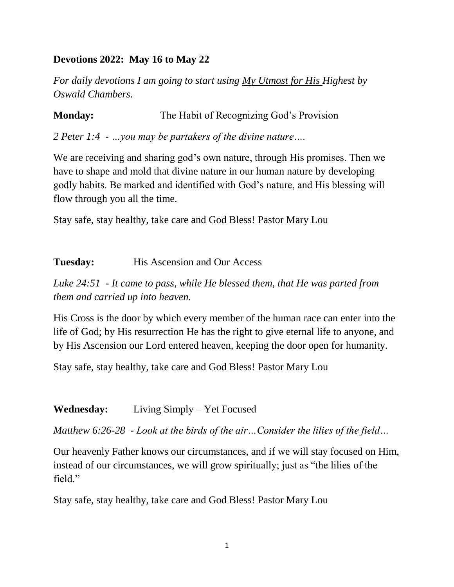## **Devotions 2022: May 16 to May 22**

*For daily devotions I am going to start using My Utmost for His Highest by Oswald Chambers.*

**Monday:** The Habit of Recognizing God's Provision *2 Peter 1:4 - …you may be partakers of the divine nature….*

We are receiving and sharing god's own nature, through His promises. Then we have to shape and mold that divine nature in our human nature by developing godly habits. Be marked and identified with God's nature, and His blessing will flow through you all the time.

Stay safe, stay healthy, take care and God Bless! Pastor Mary Lou

#### **Tuesday:** His Ascension and Our Access

*Luke 24:51 - It came to pass, while He blessed them, that He was parted from them and carried up into heaven.*

His Cross is the door by which every member of the human race can enter into the life of God; by His resurrection He has the right to give eternal life to anyone, and by His Ascension our Lord entered heaven, keeping the door open for humanity.

Stay safe, stay healthy, take care and God Bless! Pastor Mary Lou

**Wednesday:** Living Simply – Yet Focused

*Matthew 6:26-28 - Look at the birds of the air…Consider the lilies of the field…*

Our heavenly Father knows our circumstances, and if we will stay focused on Him, instead of our circumstances, we will grow spiritually; just as "the lilies of the field."

Stay safe, stay healthy, take care and God Bless! Pastor Mary Lou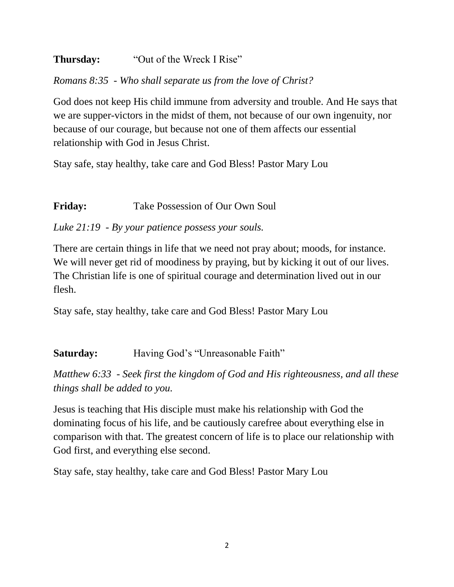## **Thursday:** "Out of the Wreck I Rise"

*Romans 8:35 - Who shall separate us from the love of Christ?*

God does not keep His child immune from adversity and trouble. And He says that we are supper-victors in the midst of them, not because of our own ingenuity, nor because of our courage, but because not one of them affects our essential relationship with God in Jesus Christ.

Stay safe, stay healthy, take care and God Bless! Pastor Mary Lou

## **Friday:** Take Possession of Our Own Soul

## *Luke 21:19 - By your patience possess your souls.*

There are certain things in life that we need not pray about; moods, for instance. We will never get rid of moodiness by praying, but by kicking it out of our lives. The Christian life is one of spiritual courage and determination lived out in our flesh.

Stay safe, stay healthy, take care and God Bless! Pastor Mary Lou

# **Saturday:** Having God's "Unreasonable Faith"

*Matthew 6:33 - Seek first the kingdom of God and His righteousness, and all these things shall be added to you.*

Jesus is teaching that His disciple must make his relationship with God the dominating focus of his life, and be cautiously carefree about everything else in comparison with that. The greatest concern of life is to place our relationship with God first, and everything else second.

Stay safe, stay healthy, take care and God Bless! Pastor Mary Lou